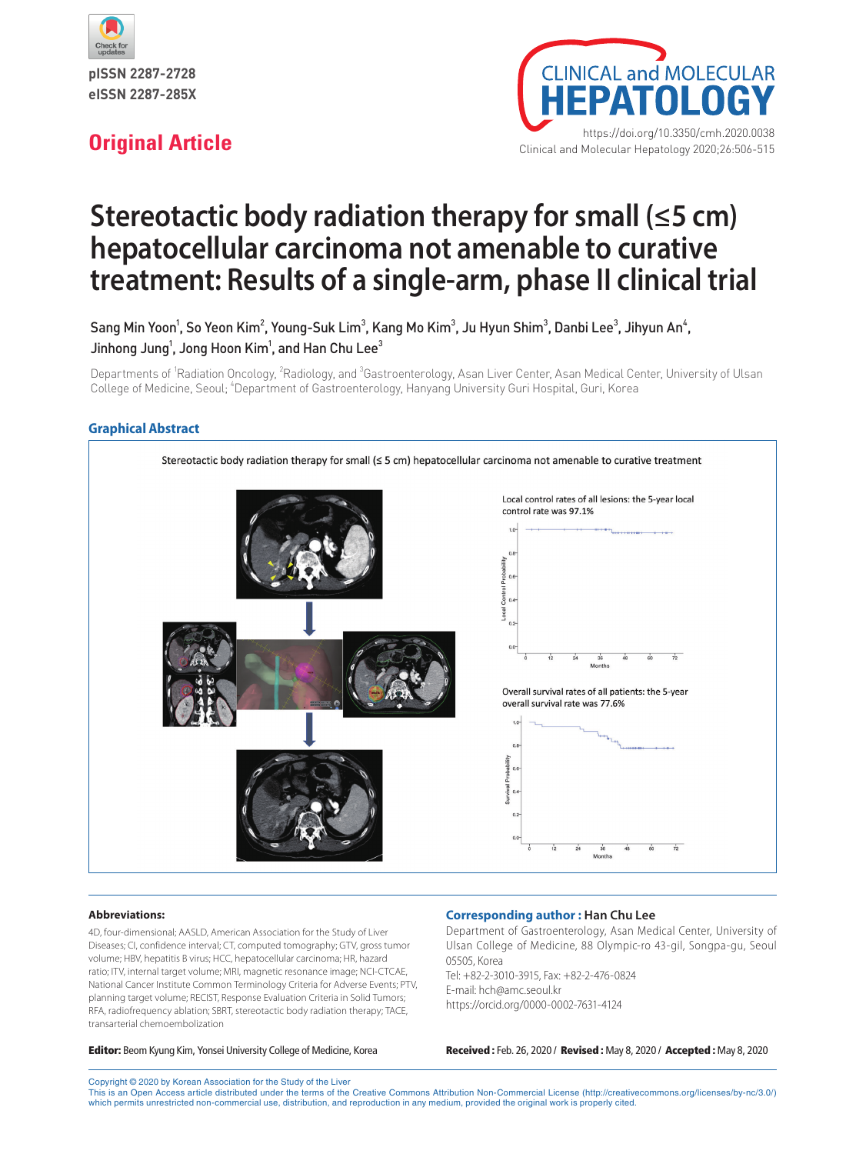



# **Stereotactic body radiation therapy for small (≤5 cm) hepatocellular carcinoma not amenable to curative treatment: Results of a single-arm, phase II clinical trial**

Sang Min Yoon $^1$ , So Yeon Kim $^2$ , Young-Suk Lim $^3$ , Kang Mo Kim $^3$ , Ju Hyun Shim $^3$ , Danbi Lee $^3$ , Jihyun An $^4$ , Jinhong Jung $^{\rm 1}$ , Jong Hoon Kim $^{\rm 1}$ , and Han Chu Lee $^{\rm 3}$ 

Departments of <sup>1</sup>Radiation Oncology, <sup>2</sup>Radiology, and <sup>3</sup>Gastroenterology, Asan Liver Center, Asan Medical Center, University of Ulsan College of Medicine, Seoul; <sup>4</sup>Department of Gastroenterology, Hanyang University Guri Hospital, Guri, Korea

# **Graphical Abstract**



#### **Abbreviations:**

4D, four-dimensional; AASLD, American Association for the Study of Liver Diseases; CI, confidence interval; CT, computed tomography; GTV, gross tumor volume; HBV, hepatitis B virus; HCC, hepatocellular carcinoma; HR, hazard ratio; ITV, internal target volume; MRI, magnetic resonance image; NCI-CTCAE, National Cancer Institute Common Terminology Criteria for Adverse Events; PTV, planning target volume; RECIST, Response Evaluation Criteria in Solid Tumors; RFA, radiofrequency ablation; SBRT, stereotactic body radiation therapy; TACE, transarterial chemoembolization

#### **Corresponding author : Han Chu Lee**

Department of Gastroenterology, Asan Medical Center, University of Ulsan College of Medicine, 88 Olympic-ro 43-gil, Songpa-gu, Seoul 05505, Korea Tel: +82-2-3010-3915, Fax: +82-2-476-0824 E-mail: hch@amc.seoul.kr https://orcid.org/0000-0002-7631-4124

Editor: Beom Kyung Kim, Yonsei University College of Medicine, Korea Received : Feb. 26, 2020 / Revised : May 8, 2020 / Accepted : May 8, 2020

Copyright © 2020 by Korean Association for the Study of the Liver This is an Open Access article distributed under the terms of the Creative Commons Attribution Non-Commercial License (http://creativecommons.org/licenses/by-nc/3.0/) which permits unrestricted non-commercial use, distribution, and reproduction in any medium, provided the original work is properly cited.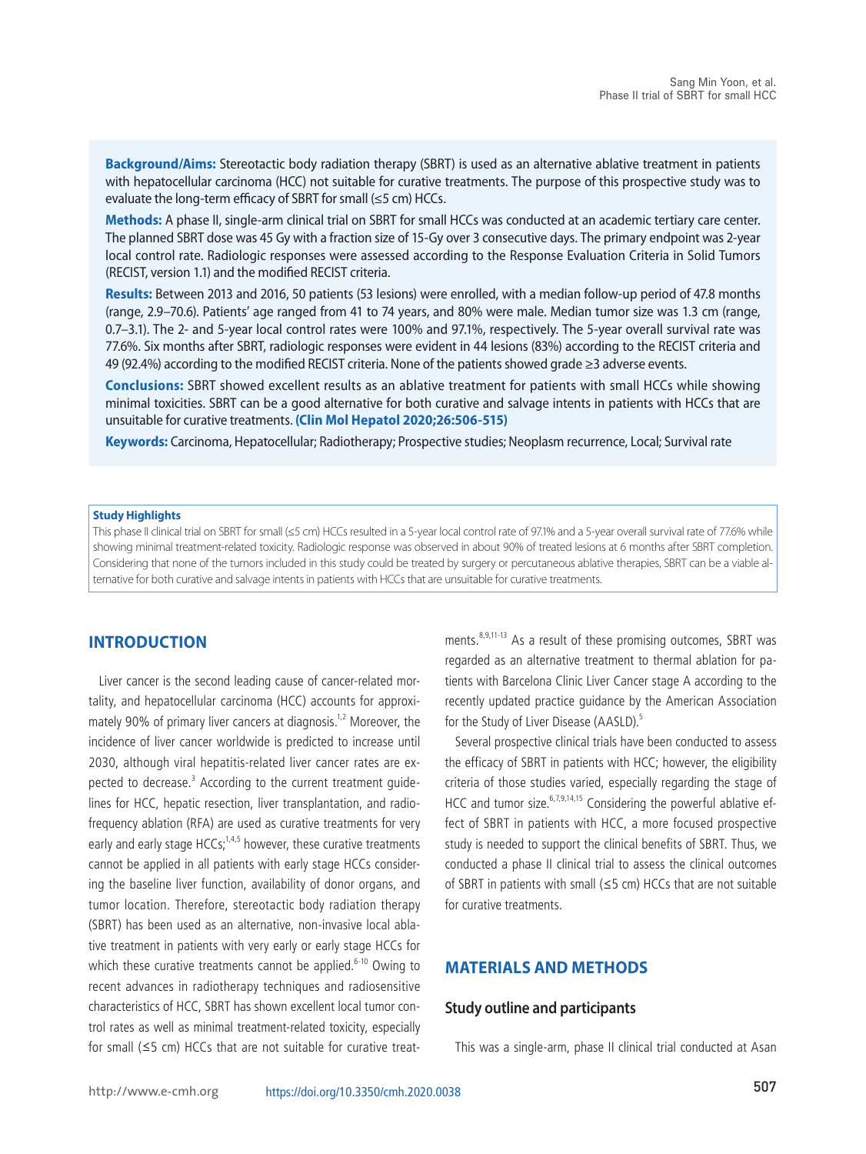**Background/Aims:** Stereotactic body radiation therapy (SBRT) is used as an alternative ablative treatment in patients with hepatocellular carcinoma (HCC) not suitable for curative treatments. The purpose of this prospective study was to evaluate the long-term efficacy of SBRT for small (≤5 cm) HCCs.

**Methods:** A phase II, single-arm clinical trial on SBRT for small HCCs was conducted at an academic tertiary care center. The planned SBRT dose was 45 Gy with a fraction size of 15-Gy over 3 consecutive days. The primary endpoint was 2-year local control rate. Radiologic responses were assessed according to the Response Evaluation Criteria in Solid Tumors (RECIST, version 1.1) and the modified RECIST criteria.

**Results:** Between 2013 and 2016, 50 patients (53 lesions) were enrolled, with a median follow-up period of 47.8 months (range, 2.9–70.6). Patients' age ranged from 41 to 74 years, and 80% were male. Median tumor size was 1.3 cm (range, 0.7–3.1). The 2- and 5-year local control rates were 100% and 97.1%, respectively. The 5-year overall survival rate was 77.6%. Six months after SBRT, radiologic responses were evident in 44 lesions (83%) according to the RECIST criteria and 49 (92.4%) according to the modified RECIST criteria. None of the patients showed grade ≥3 adverse events.

**Conclusions:** SBRT showed excellent results as an ablative treatment for patients with small HCCs while showing minimal toxicities. SBRT can be a good alternative for both curative and salvage intents in patients with HCCs that are unsuitable for curative treatments. **(Clin Mol Hepatol 2020;26:506-515)**

**Keywords:** Carcinoma, Hepatocellular; Radiotherapy; Prospective studies; Neoplasm recurrence, Local; Survival rate

#### **Study Highlights**

This phase II clinical trial on SBRT for small (≤5 cm) HCCs resulted in a 5-year local control rate of 97.1% and a 5-year overall survival rate of 77.6% while showing minimal treatment-related toxicity. Radiologic response was observed in about 90% of treated lesions at 6 months after SBRT completion. Considering that none of the tumors included in this study could be treated by surgery or percutaneous ablative therapies, SBRT can be a viable alternative for both curative and salvage intents in patients with HCCs that are unsuitable for curative treatments.

# **Introduction**

Liver cancer is the second leading cause of cancer-related mortality, and hepatocellular carcinoma (HCC) accounts for approximately 90% of primary liver cancers at diagnosis.<sup>1,2</sup> Moreover, the incidence of liver cancer worldwide is predicted to increase until 2030, although viral hepatitis-related liver cancer rates are expected to decrease.<sup>3</sup> According to the current treatment guidelines for HCC, hepatic resection, liver transplantation, and radiofrequency ablation (RFA) are used as curative treatments for very early and early stage HCCs;<sup>1,4,5</sup> however, these curative treatments cannot be applied in all patients with early stage HCCs considering the baseline liver function, availability of donor organs, and tumor location. Therefore, stereotactic body radiation therapy (SBRT) has been used as an alternative, non-invasive local ablative treatment in patients with very early or early stage HCCs for which these curative treatments cannot be applied.<sup>6-10</sup> Owing to recent advances in radiotherapy techniques and radiosensitive characteristics of HCC, SBRT has shown excellent local tumor control rates as well as minimal treatment-related toxicity, especially for small (≤5 cm) HCCs that are not suitable for curative treatments.<sup>8,9,11-13</sup> As a result of these promising outcomes, SBRT was regarded as an alternative treatment to thermal ablation for patients with Barcelona Clinic Liver Cancer stage A according to the recently updated practice guidance by the American Association for the Study of Liver Disease (AASLD).<sup>5</sup>

Several prospective clinical trials have been conducted to assess the efficacy of SBRT in patients with HCC; however, the eligibility criteria of those studies varied, especially regarding the stage of HCC and tumor size.<sup>6,7,9,14,15</sup> Considering the powerful ablative effect of SBRT in patients with HCC, a more focused prospective study is needed to support the clinical benefits of SBRT. Thus, we conducted a phase II clinical trial to assess the clinical outcomes of SBRT in patients with small (≤5 cm) HCCs that are not suitable for curative treatments.

# **Materials and Methods**

### **Study outline and participants**

This was a single-arm, phase II clinical trial conducted at Asan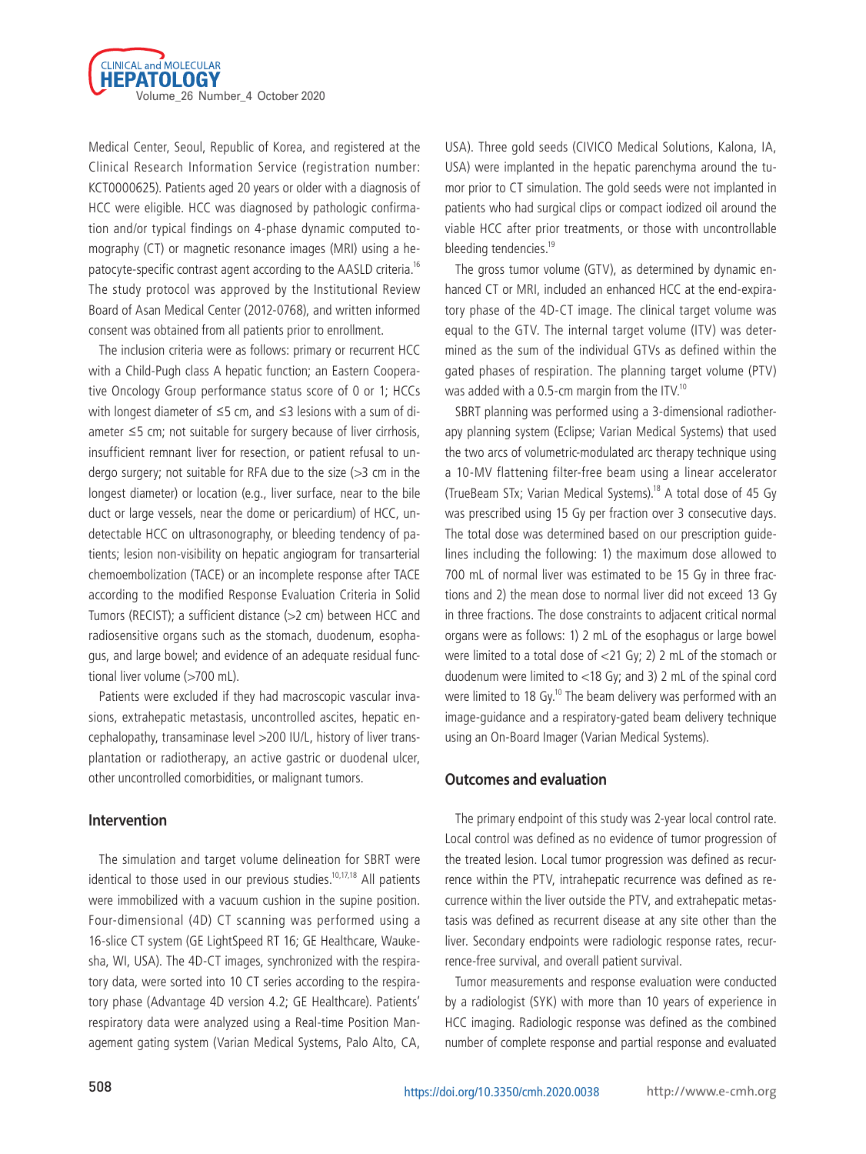

Medical Center, Seoul, Republic of Korea, and registered at the Clinical Research Information Service (registration number: KCT0000625). Patients aged 20 years or older with a diagnosis of HCC were eligible. HCC was diagnosed by pathologic confirmation and/or typical findings on 4-phase dynamic computed tomography (CT) or magnetic resonance images (MRI) using a hepatocyte-specific contrast agent according to the AASLD criteria.16 The study protocol was approved by the Institutional Review Board of Asan Medical Center (2012-0768), and written informed consent was obtained from all patients prior to enrollment.

The inclusion criteria were as follows: primary or recurrent HCC with a Child-Pugh class A hepatic function; an Eastern Cooperative Oncology Group performance status score of 0 or 1; HCCs with longest diameter of ≤5 cm, and ≤3 lesions with a sum of diameter ≤5 cm; not suitable for surgery because of liver cirrhosis, insufficient remnant liver for resection, or patient refusal to undergo surgery; not suitable for RFA due to the size (>3 cm in the longest diameter) or location (e.g., liver surface, near to the bile duct or large vessels, near the dome or pericardium) of HCC, undetectable HCC on ultrasonography, or bleeding tendency of patients; lesion non-visibility on hepatic angiogram for transarterial chemoembolization (TACE) or an incomplete response after TACE according to the modified Response Evaluation Criteria in Solid Tumors (RECIST); a sufficient distance (>2 cm) between HCC and radiosensitive organs such as the stomach, duodenum, esophagus, and large bowel; and evidence of an adequate residual functional liver volume (>700 mL).

Patients were excluded if they had macroscopic vascular invasions, extrahepatic metastasis, uncontrolled ascites, hepatic encephalopathy, transaminase level >200 IU/L, history of liver transplantation or radiotherapy, an active gastric or duodenal ulcer, other uncontrolled comorbidities, or malignant tumors.

# **Intervention**

The simulation and target volume delineation for SBRT were identical to those used in our previous studies.<sup>10,17,18</sup> All patients were immobilized with a vacuum cushion in the supine position. Four-dimensional (4D) CT scanning was performed using a 16-slice CT system (GE LightSpeed RT 16; GE Healthcare, Waukesha, WI, USA). The 4D-CT images, synchronized with the respiratory data, were sorted into 10 CT series according to the respiratory phase (Advantage 4D version 4.2; GE Healthcare). Patients' respiratory data were analyzed using a Real-time Position Management gating system (Varian Medical Systems, Palo Alto, CA, USA). Three gold seeds (CIVICO Medical Solutions, Kalona, IA, USA) were implanted in the hepatic parenchyma around the tumor prior to CT simulation. The gold seeds were not implanted in patients who had surgical clips or compact iodized oil around the viable HCC after prior treatments, or those with uncontrollable bleeding tendencies.<sup>19</sup>

The gross tumor volume (GTV), as determined by dynamic enhanced CT or MRI, included an enhanced HCC at the end-expiratory phase of the 4D-CT image. The clinical target volume was equal to the GTV. The internal target volume (ITV) was determined as the sum of the individual GTVs as defined within the gated phases of respiration. The planning target volume (PTV) was added with a 0.5-cm margin from the ITV.<sup>10</sup>

SBRT planning was performed using a 3-dimensional radiotherapy planning system (Eclipse; Varian Medical Systems) that used the two arcs of volumetric-modulated arc therapy technique using a 10-MV flattening filter-free beam using a linear accelerator (TrueBeam STx; Varian Medical Systems).<sup>18</sup> A total dose of 45 Gy was prescribed using 15 Gy per fraction over 3 consecutive days. The total dose was determined based on our prescription guidelines including the following: 1) the maximum dose allowed to 700 mL of normal liver was estimated to be 15 Gy in three fractions and 2) the mean dose to normal liver did not exceed 13 Gy in three fractions. The dose constraints to adjacent critical normal organs were as follows: 1) 2 mL of the esophagus or large bowel were limited to a total dose of <21 Gy; 2) 2 mL of the stomach or duodenum were limited to <18 Gy; and 3) 2 mL of the spinal cord were limited to 18 Gy.<sup>10</sup> The beam delivery was performed with an image-guidance and a respiratory-gated beam delivery technique using an On-Board Imager (Varian Medical Systems).

#### **Outcomes and evaluation**

The primary endpoint of this study was 2-year local control rate. Local control was defined as no evidence of tumor progression of the treated lesion. Local tumor progression was defined as recurrence within the PTV, intrahepatic recurrence was defined as recurrence within the liver outside the PTV, and extrahepatic metastasis was defined as recurrent disease at any site other than the liver. Secondary endpoints were radiologic response rates, recurrence-free survival, and overall patient survival.

Tumor measurements and response evaluation were conducted by a radiologist (SYK) with more than 10 years of experience in HCC imaging. Radiologic response was defined as the combined number of complete response and partial response and evaluated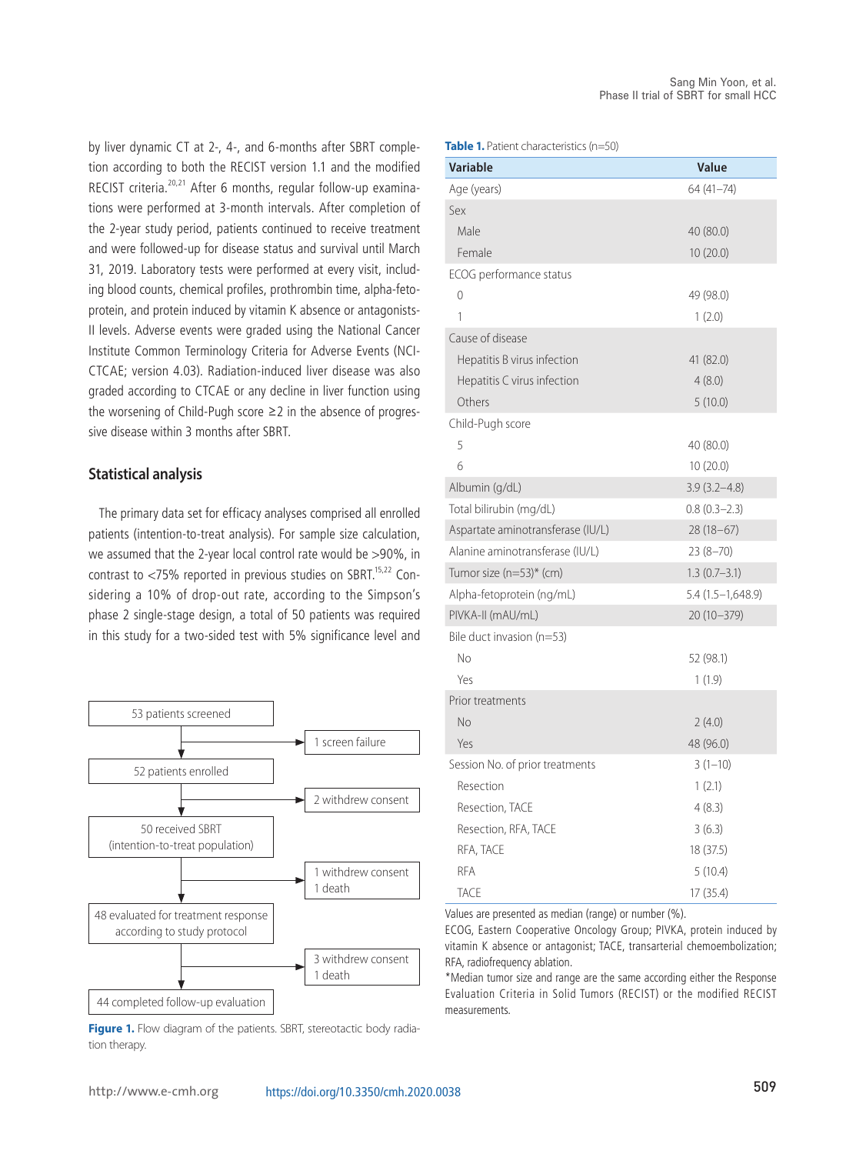by liver dynamic CT at 2-, 4-, and 6-months after SBRT completion according to both the RECIST version 1.1 and the modified RECIST criteria.<sup>20,21</sup> After 6 months, regular follow-up examinations were performed at 3-month intervals. After completion of the 2-year study period, patients continued to receive treatment and were followed-up for disease status and survival until March 31, 2019. Laboratory tests were performed at every visit, including blood counts, chemical profiles, prothrombin time, alpha-fetoprotein, and protein induced by vitamin K absence or antagonists-II levels. Adverse events were graded using the National Cancer Institute Common Terminology Criteria for Adverse Events (NCI-CTCAE; version 4.03). Radiation-induced liver disease was also graded according to CTCAE or any decline in liver function using the worsening of Child-Pugh score ≥2 in the absence of progressive disease within 3 months after SBRT.

#### **Statistical analysis**

The primary data set for efficacy analyses comprised all enrolled patients (intention-to-treat analysis). For sample size calculation, we assumed that the 2-year local control rate would be >90%, in contrast to  $<$ 75% reported in previous studies on SBRT.<sup>15,22</sup> Considering a 10% of drop-out rate, according to the Simpson's phase 2 single-stage design, a total of 50 patients was required in this study for a two-sided test with 5% significance level and



Figure 1. Flow diagram of the patients. SBRT, stereotactic body radiation therapy.

**Table 1.** Patient characteristics (n=50)

| <b>Variable</b>                   | Value             |
|-----------------------------------|-------------------|
| Age (years)                       | 64 (41-74)        |
| Sex                               |                   |
| Male                              | 40 (80.0)         |
| Female                            | 10(20.0)          |
| ECOG performance status           |                   |
| 0                                 | 49 (98.0)         |
| 1                                 | 1(2.0)            |
| Cause of disease                  |                   |
| Hepatitis B virus infection       | 41 (82.0)         |
| Hepatitis C virus infection       | 4(8.0)            |
| Others                            | 5(10.0)           |
| Child-Pugh score                  |                   |
| 5                                 | 40 (80.0)         |
| 6                                 | 10(20.0)          |
| Albumin (g/dL)                    | $3.9(3.2 - 4.8)$  |
| Total bilirubin (mg/dL)           | $0.8(0.3-2.3)$    |
| Aspartate aminotransferase (IU/L) | $28(18-67)$       |
| Alanine aminotransferase (IU/L)   | $23(8-70)$        |
| Tumor size $(n=53)$ * (cm)        | $1.3(0.7 - 3.1)$  |
| Alpha-fetoprotein (ng/mL)         | 5.4 (1.5–1,648.9) |
| PIVKA-II (mAU/mL)                 | 20 (10-379)       |
| Bile duct invasion (n=53)         |                   |
| No                                | 52 (98.1)         |
| Yes                               | 1(1.9)            |
| Prior treatments                  |                   |
| No                                | 2(4.0)            |
| Yes                               | 48 (96.0)         |
| Session No. of prior treatments   | $3(1-10)$         |
| Resection                         | 1(2.1)            |
| Resection, TACE                   | 4(8.3)            |
| Resection, RFA, TACE              | 3(6.3)            |
| RFA, TACE                         | 18 (37.5)         |
| <b>RFA</b>                        | 5(10.4)           |
| <b>TACE</b>                       | 17 (35.4)         |

Values are presented as median (range) or number (%).

ECOG, Eastern Cooperative Oncology Group; PIVKA, protein induced by vitamin K absence or antagonist; TACE, transarterial chemoembolization; RFA, radiofrequency ablation.

\*Median tumor size and range are the same according either the Response Evaluation Criteria in Solid Tumors (RECIST) or the modified RECIST measurements.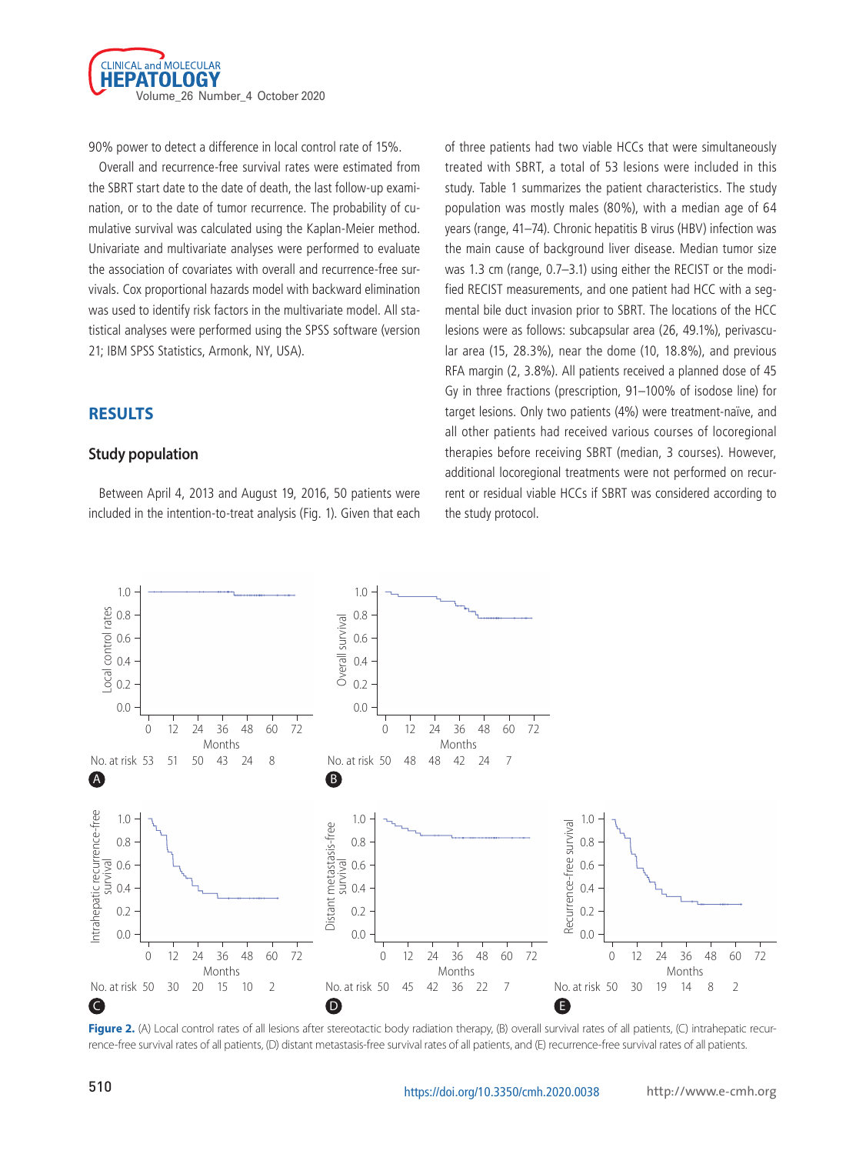

90% power to detect a difference in local control rate of 15%.

Overall and recurrence-free survival rates were estimated from the SBRT start date to the date of death, the last follow-up examination, or to the date of tumor recurrence. The probability of cumulative survival was calculated using the Kaplan-Meier method. Univariate and multivariate analyses were performed to evaluate the association of covariates with overall and recurrence-free survivals. Cox proportional hazards model with backward elimination was used to identify risk factors in the multivariate model. All statistical analyses were performed using the SPSS software (version 21; IBM SPSS Statistics, Armonk, NY, USA).

# **Results**

# **Study population**

Between April 4, 2013 and August 19, 2016, 50 patients were included in the intention-to-treat analysis (Fig. 1). Given that each of three patients had two viable HCCs that were simultaneously treated with SBRT, a total of 53 lesions were included in this study. Table 1 summarizes the patient characteristics. The study population was mostly males (80%), with a median age of 64 years (range, 41–74). Chronic hepatitis B virus (HBV) infection was the main cause of background liver disease. Median tumor size was 1.3 cm (range, 0.7–3.1) using either the RECIST or the modified RECIST measurements, and one patient had HCC with a segmental bile duct invasion prior to SBRT. The locations of the HCC lesions were as follows: subcapsular area (26, 49.1%), perivascular area (15, 28.3%), near the dome (10, 18.8%), and previous RFA margin (2, 3.8%). All patients received a planned dose of 45 Gy in three fractions (prescription, 91–100% of isodose line) for target lesions. Only two patients (4%) were treatment-naïve, and all other patients had received various courses of locoregional therapies before receiving SBRT (median, 3 courses). However, additional locoregional treatments were not performed on recurrent or residual viable HCCs if SBRT was considered according to the study protocol.



Figure 2. (A) Local control rates of all lesions after stereotactic body radiation therapy, (B) overall survival rates of all patients, (C) intrahepatic recurrence-free survival rates of all patients, (D) distant metastasis-free survival rates of all patients, and (E) recurrence-free survival rates of all patients.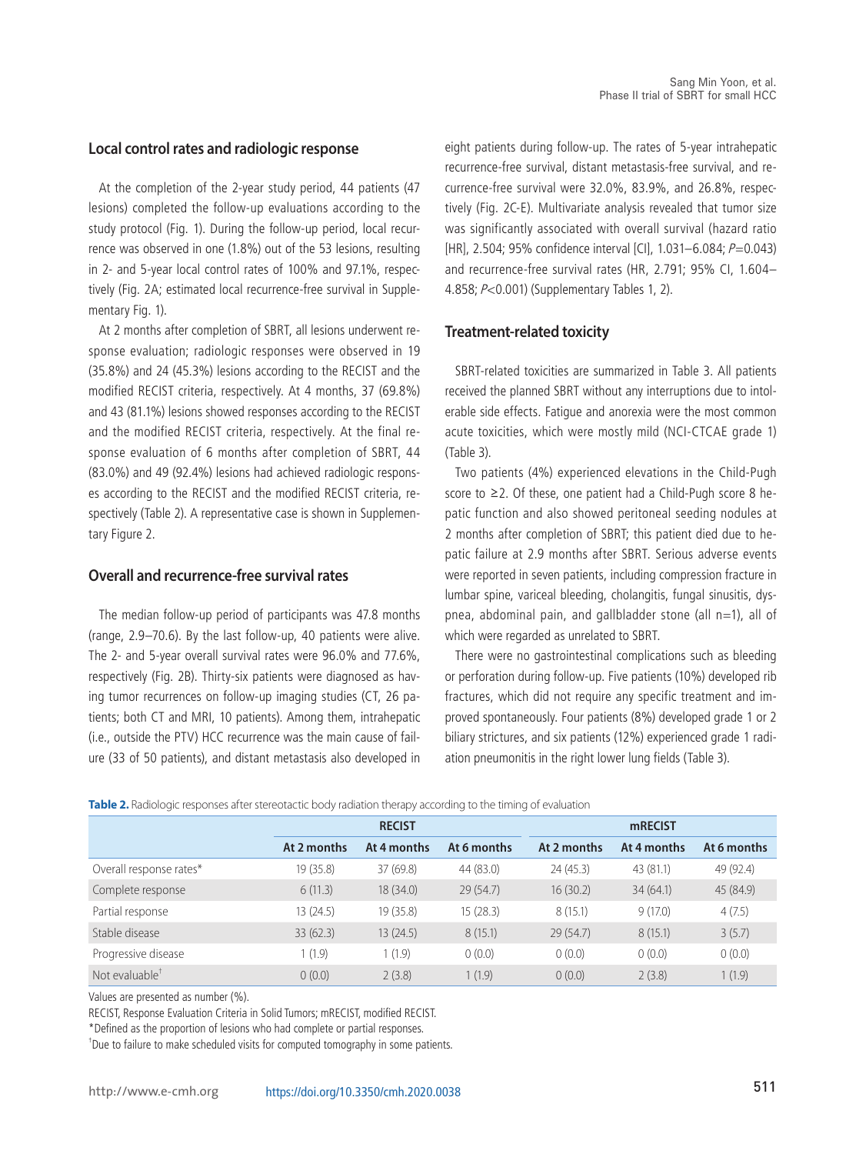#### **Local control rates and radiologic response**

At the completion of the 2-year study period, 44 patients (47 lesions) completed the follow-up evaluations according to the study protocol (Fig. 1). During the follow-up period, local recurrence was observed in one (1.8%) out of the 53 lesions, resulting in 2- and 5-year local control rates of 100% and 97.1%, respectively (Fig. 2A; estimated local recurrence-free survival in Supplementary Fig. 1).

At 2 months after completion of SBRT, all lesions underwent response evaluation; radiologic responses were observed in 19 (35.8%) and 24 (45.3%) lesions according to the RECIST and the modified RECIST criteria, respectively. At 4 months, 37 (69.8%) and 43 (81.1%) lesions showed responses according to the RECIST and the modified RECIST criteria, respectively. At the final response evaluation of 6 months after completion of SBRT, 44 (83.0%) and 49 (92.4%) lesions had achieved radiologic responses according to the RECIST and the modified RECIST criteria, respectively (Table 2). A representative case is shown in Supplementary Figure 2.

# **Overall and recurrence-free survival rates**

The median follow-up period of participants was 47.8 months (range, 2.9–70.6). By the last follow-up, 40 patients were alive. The 2- and 5-year overall survival rates were 96.0% and 77.6%, respectively (Fig. 2B). Thirty-six patients were diagnosed as having tumor recurrences on follow-up imaging studies (CT, 26 patients; both CT and MRI, 10 patients). Among them, intrahepatic (i.e., outside the PTV) HCC recurrence was the main cause of failure (33 of 50 patients), and distant metastasis also developed in eight patients during follow-up. The rates of 5-year intrahepatic recurrence-free survival, distant metastasis-free survival, and recurrence-free survival were 32.0%, 83.9%, and 26.8%, respectively (Fig. 2C-E). Multivariate analysis revealed that tumor size was significantly associated with overall survival (hazard ratio [HR], 2.504; 95% confidence interval [CI], 1.031–6.084; P=0.043) and recurrence-free survival rates (HR, 2.791; 95% CI, 1.604– 4.858; P<0.001) (Supplementary Tables 1, 2).

#### **Treatment-related toxicity**

SBRT-related toxicities are summarized in Table 3. All patients received the planned SBRT without any interruptions due to intolerable side effects. Fatigue and anorexia were the most common acute toxicities, which were mostly mild (NCI-CTCAE grade 1) (Table 3).

Two patients (4%) experienced elevations in the Child-Pugh score to ≥2. Of these, one patient had a Child-Pugh score 8 hepatic function and also showed peritoneal seeding nodules at 2 months after completion of SBRT; this patient died due to hepatic failure at 2.9 months after SBRT. Serious adverse events were reported in seven patients, including compression fracture in lumbar spine, variceal bleeding, cholangitis, fungal sinusitis, dyspnea, abdominal pain, and gallbladder stone (all  $n=1$ ), all of which were regarded as unrelated to SBRT.

There were no gastrointestinal complications such as bleeding or perforation during follow-up. Five patients (10%) developed rib fractures, which did not require any specific treatment and improved spontaneously. Four patients (8%) developed grade 1 or 2 biliary strictures, and six patients (12%) experienced grade 1 radiation pneumonitis in the right lower lung fields (Table 3).

**Table 2.** Radiologic responses after stereotactic body radiation therapy according to the timing of evaluation

|                         | <b>RECIST</b> |             |             | <b>mRECIST</b> |             |             |  |
|-------------------------|---------------|-------------|-------------|----------------|-------------|-------------|--|
|                         | At 2 months   | At 4 months | At 6 months | At 2 months    | At 4 months | At 6 months |  |
| Overall response rates* | 19 (35.8)     | 37(69.8)    | 44 (83.0)   | 24(45.3)       | 43 (81.1)   | 49 (92.4)   |  |
| Complete response       | 6(11.3)       | 18(34.0)    | 29(54.7)    | 16(30.2)       | 34(64.1)    | 45 (84.9)   |  |
| Partial response        | 13 (24.5)     | 19(35.8)    | 15(28.3)    | 8(15.1)        | 9(17.0)     | 4(7.5)      |  |
| Stable disease          | 33(62.3)      | 13(24.5)    | 8(15.1)     | 29(54.7)       | 8(15.1)     | 3(5.7)      |  |
| Progressive disease     | 1(1.9)        | 1(1.9)      | 0(0.0)      | 0(0.0)         | 0(0.0)      | 0(0.0)      |  |
| Not evaluable $T$       | 0(0.0)        | 2(3.8)      | 1(1.9)      | 0(0.0)         | 2(3.8)      | 1(1.9)      |  |

Values are presented as number (%).

RECIST, Response Evaluation Criteria in Solid Tumors; mRECIST, modified RECIST.

\*Defined as the proportion of lesions who had complete or partial responses.

† Due to failure to make scheduled visits for computed tomography in some patients.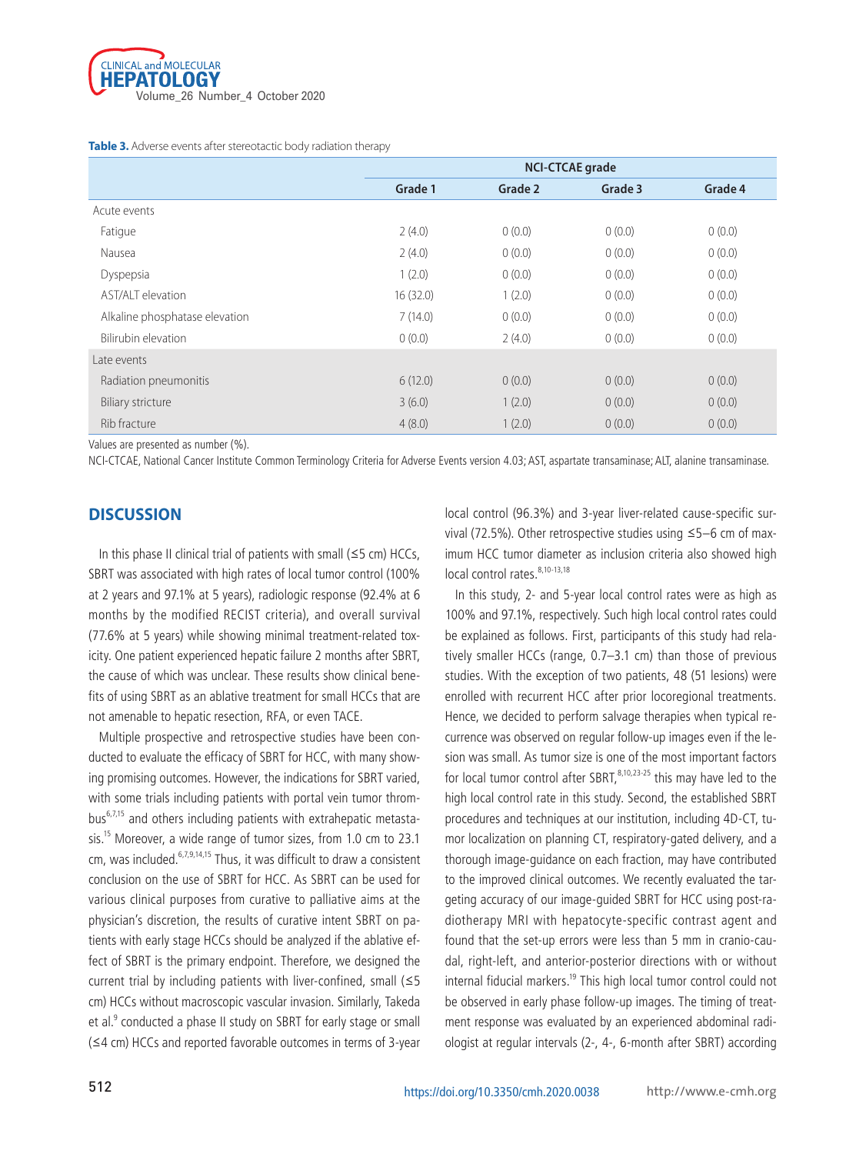

**Table 3.** Adverse events after stereotactic body radiation therapy

|                                | <b>NCI-CTCAE grade</b> |         |         |         |  |
|--------------------------------|------------------------|---------|---------|---------|--|
|                                | Grade 1                | Grade 2 | Grade 3 | Grade 4 |  |
| Acute events                   |                        |         |         |         |  |
| Fatigue                        | 2(4.0)                 | 0(0.0)  | 0(0.0)  | 0(0.0)  |  |
| Nausea                         | 2(4.0)                 | 0(0.0)  | 0(0.0)  | 0(0.0)  |  |
| Dyspepsia                      | 1(2.0)                 | 0(0.0)  | 0(0.0)  | 0(0.0)  |  |
| AST/ALT elevation              | 16(32.0)               | 1(2.0)  | 0(0.0)  | 0(0.0)  |  |
| Alkaline phosphatase elevation | 7(14.0)                | 0(0.0)  | 0(0.0)  | 0(0.0)  |  |
| Bilirubin elevation            | 0(0.0)                 | 2(4.0)  | 0(0.0)  | 0(0.0)  |  |
| Late events                    |                        |         |         |         |  |
| Radiation pneumonitis          | 6(12.0)                | 0(0.0)  | 0(0.0)  | 0(0.0)  |  |
| <b>Biliary stricture</b>       | 3(6.0)                 | 1(2.0)  | 0(0.0)  | 0(0.0)  |  |
| Rib fracture                   | 4(8.0)                 | 1(2.0)  | 0(0.0)  | 0(0.0)  |  |

Values are presented as number (%).

NCI-CTCAE, National Cancer Institute Common Terminology Criteria for Adverse Events version 4.03; AST, aspartate transaminase; ALT, alanine transaminase.

# **Discussion**

In this phase II clinical trial of patients with small ( $\leq$ 5 cm) HCCs, SBRT was associated with high rates of local tumor control (100% at 2 years and 97.1% at 5 years), radiologic response (92.4% at 6 months by the modified RECIST criteria), and overall survival (77.6% at 5 years) while showing minimal treatment-related toxicity. One patient experienced hepatic failure 2 months after SBRT, the cause of which was unclear. These results show clinical benefits of using SBRT as an ablative treatment for small HCCs that are not amenable to hepatic resection, RFA, or even TACE.

Multiple prospective and retrospective studies have been conducted to evaluate the efficacy of SBRT for HCC, with many showing promising outcomes. However, the indications for SBRT varied, with some trials including patients with portal vein tumor throm $bus<sup>6,7,15</sup>$  and others including patients with extrahepatic metastasis.15 Moreover, a wide range of tumor sizes, from 1.0 cm to 23.1 cm, was included.<sup>6,7,9,14,15</sup> Thus, it was difficult to draw a consistent conclusion on the use of SBRT for HCC. As SBRT can be used for various clinical purposes from curative to palliative aims at the physician's discretion, the results of curative intent SBRT on patients with early stage HCCs should be analyzed if the ablative effect of SBRT is the primary endpoint. Therefore, we designed the current trial by including patients with liver-confined, small (≤5 cm) HCCs without macroscopic vascular invasion. Similarly, Takeda et al.<sup>9</sup> conducted a phase II study on SBRT for early stage or small (≤4 cm) HCCs and reported favorable outcomes in terms of 3-year

local control (96.3%) and 3-year liver-related cause-specific survival (72.5%). Other retrospective studies using ≤5–6 cm of maximum HCC tumor diameter as inclusion criteria also showed high local control rates.<sup>8,10-13,18</sup>

In this study, 2- and 5-year local control rates were as high as 100% and 97.1%, respectively. Such high local control rates could be explained as follows. First, participants of this study had relatively smaller HCCs (range, 0.7–3.1 cm) than those of previous studies. With the exception of two patients, 48 (51 lesions) were enrolled with recurrent HCC after prior locoregional treatments. Hence, we decided to perform salvage therapies when typical recurrence was observed on regular follow-up images even if the lesion was small. As tumor size is one of the most important factors for local tumor control after SBRT, $8,10,23-25$  this may have led to the high local control rate in this study. Second, the established SBRT procedures and techniques at our institution, including 4D-CT, tumor localization on planning CT, respiratory-gated delivery, and a thorough image-guidance on each fraction, may have contributed to the improved clinical outcomes. We recently evaluated the targeting accuracy of our image-guided SBRT for HCC using post-radiotherapy MRI with hepatocyte-specific contrast agent and found that the set-up errors were less than 5 mm in cranio-caudal, right-left, and anterior-posterior directions with or without internal fiducial markers.<sup>19</sup> This high local tumor control could not be observed in early phase follow-up images. The timing of treatment response was evaluated by an experienced abdominal radiologist at regular intervals (2-, 4-, 6-month after SBRT) according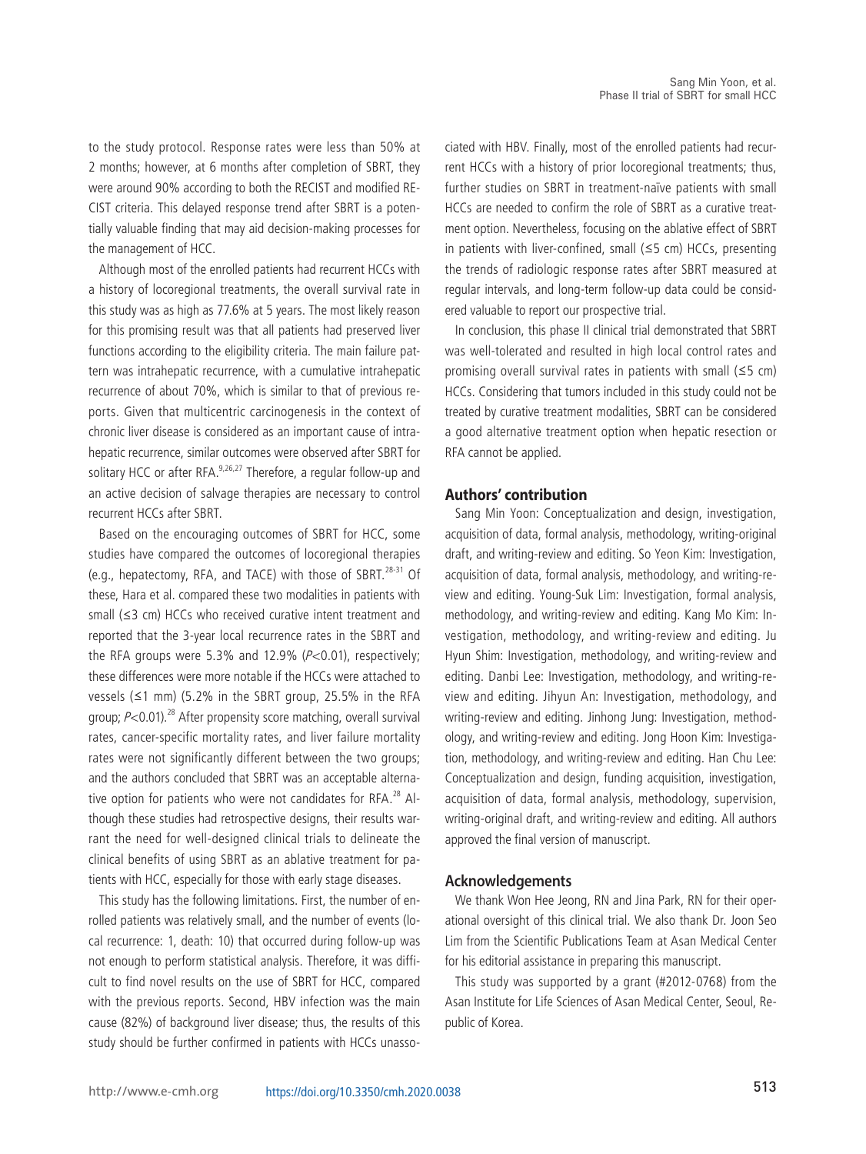to the study protocol. Response rates were less than 50% at 2 months; however, at 6 months after completion of SBRT, they were around 90% according to both the RECIST and modified RE-CIST criteria. This delayed response trend after SBRT is a potentially valuable finding that may aid decision-making processes for the management of HCC.

Although most of the enrolled patients had recurrent HCCs with a history of locoregional treatments, the overall survival rate in this study was as high as 77.6% at 5 years. The most likely reason for this promising result was that all patients had preserved liver functions according to the eligibility criteria. The main failure pattern was intrahepatic recurrence, with a cumulative intrahepatic recurrence of about 70%, which is similar to that of previous reports. Given that multicentric carcinogenesis in the context of chronic liver disease is considered as an important cause of intrahepatic recurrence, similar outcomes were observed after SBRT for solitary HCC or after RFA.<sup>9,26,27</sup> Therefore, a regular follow-up and an active decision of salvage therapies are necessary to control recurrent HCCs after SBRT.

Based on the encouraging outcomes of SBRT for HCC, some studies have compared the outcomes of locoregional therapies (e.g., hepatectomy, RFA, and TACE) with those of SBRT.<sup>28-31</sup> Of these, Hara et al. compared these two modalities in patients with small (≤3 cm) HCCs who received curative intent treatment and reported that the 3-year local recurrence rates in the SBRT and the RFA groups were 5.3% and 12.9%  $(P<0.01)$ , respectively; these differences were more notable if the HCCs were attached to vessels (≤1 mm) (5.2% in the SBRT group, 25.5% in the RFA group;  $P<0.01$ ).<sup>28</sup> After propensity score matching, overall survival rates, cancer-specific mortality rates, and liver failure mortality rates were not significantly different between the two groups; and the authors concluded that SBRT was an acceptable alternative option for patients who were not candidates for RFA. $^{28}$  Although these studies had retrospective designs, their results warrant the need for well-designed clinical trials to delineate the clinical benefits of using SBRT as an ablative treatment for patients with HCC, especially for those with early stage diseases.

This study has the following limitations. First, the number of enrolled patients was relatively small, and the number of events (local recurrence: 1, death: 10) that occurred during follow-up was not enough to perform statistical analysis. Therefore, it was difficult to find novel results on the use of SBRT for HCC, compared with the previous reports. Second, HBV infection was the main cause (82%) of background liver disease; thus, the results of this study should be further confirmed in patients with HCCs unassociated with HBV. Finally, most of the enrolled patients had recurrent HCCs with a history of prior locoregional treatments; thus, further studies on SBRT in treatment-naïve patients with small HCCs are needed to confirm the role of SBRT as a curative treatment option. Nevertheless, focusing on the ablative effect of SBRT in patients with liver-confined, small (≤5 cm) HCCs, presenting the trends of radiologic response rates after SBRT measured at regular intervals, and long-term follow-up data could be considered valuable to report our prospective trial.

In conclusion, this phase II clinical trial demonstrated that SBRT was well-tolerated and resulted in high local control rates and promising overall survival rates in patients with small (≤5 cm) HCCs. Considering that tumors included in this study could not be treated by curative treatment modalities, SBRT can be considered a good alternative treatment option when hepatic resection or RFA cannot be applied.

# **Authors' contribution**

Sang Min Yoon: Conceptualization and design, investigation, acquisition of data, formal analysis, methodology, writing-original draft, and writing-review and editing. So Yeon Kim: Investigation, acquisition of data, formal analysis, methodology, and writing-review and editing. Young-Suk Lim: Investigation, formal analysis, methodology, and writing-review and editing. Kang Mo Kim: Investigation, methodology, and writing-review and editing. Ju Hyun Shim: Investigation, methodology, and writing-review and editing. Danbi Lee: Investigation, methodology, and writing-review and editing. Jihyun An: Investigation, methodology, and writing-review and editing. Jinhong Jung: Investigation, methodology, and writing-review and editing. Jong Hoon Kim: Investigation, methodology, and writing-review and editing. Han Chu Lee: Conceptualization and design, funding acquisition, investigation, acquisition of data, formal analysis, methodology, supervision, writing-original draft, and writing-review and editing. All authors approved the final version of manuscript.

#### **Acknowledgements**

We thank Won Hee Jeong, RN and Jina Park, RN for their operational oversight of this clinical trial. We also thank Dr. Joon Seo Lim from the Scientific Publications Team at Asan Medical Center for his editorial assistance in preparing this manuscript.

This study was supported by a grant (#2012-0768) from the Asan Institute for Life Sciences of Asan Medical Center, Seoul, Republic of Korea.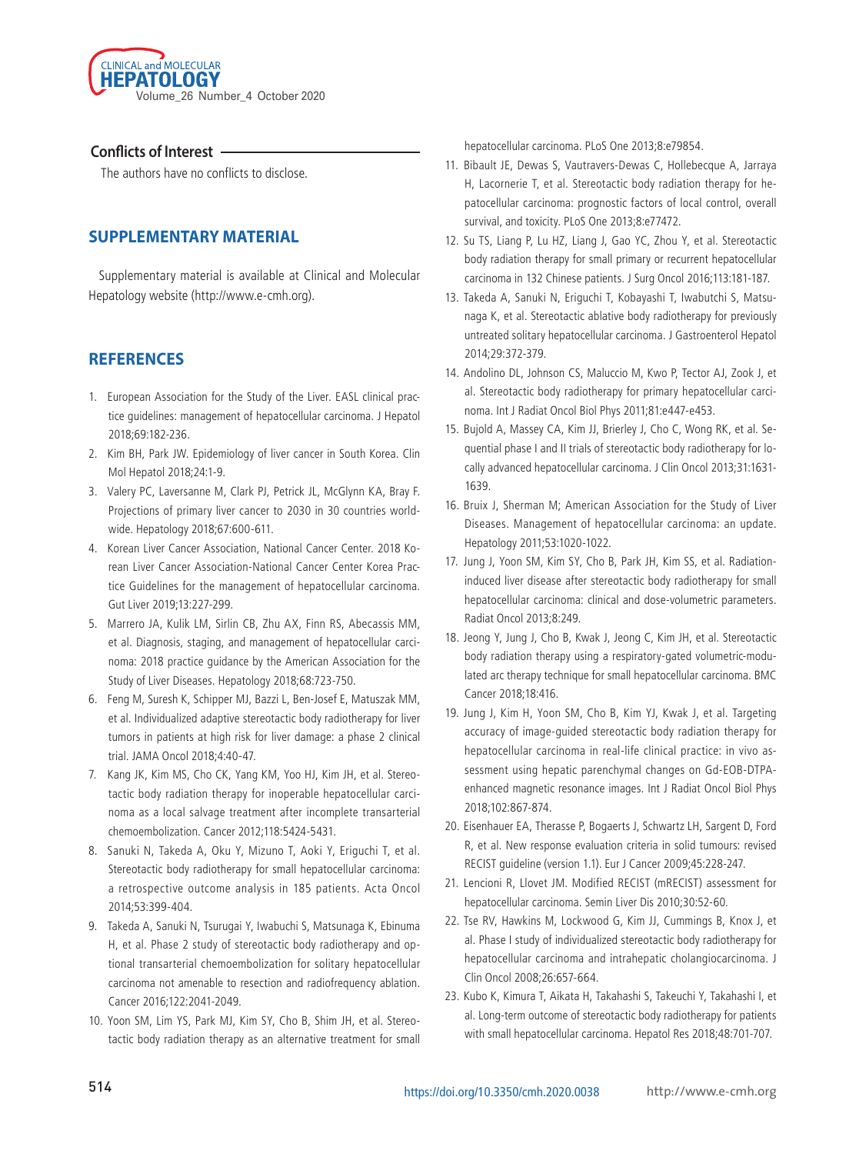

# **Conflicts of Interest**

The authors have no conflicts to disclose.

# **SUPPLEMENTARY MATERIAL**

Supplementary material is available at Clinical and Molecular Hepatology website (http://www.e-cmh.org).

# **REFERENCES**

- 1. European Association for the Study of the Liver. EASL clinical practice guidelines: management of hepatocellular carcinoma. J Hepatol 2018;69:182-236.
- 2. Kim BH, Park JW. Epidemiology of liver cancer in South Korea. Clin Mol Hepatol 2018;24:1-9.
- 3. Valery PC, Laversanne M, Clark PJ, Petrick JL, McGlynn KA, Bray F. Projections of primary liver cancer to 2030 in 30 countries worldwide. Hepatology 2018;67:600-611.
- 4. Korean Liver Cancer Association, National Cancer Center. 2018 Korean Liver Cancer Association-National Cancer Center Korea Practice Guidelines for the management of hepatocellular carcinoma. Gut Liver 2019;13:227-299.
- 5. Marrero JA, Kulik LM, Sirlin CB, Zhu AX, Finn RS, Abecassis MM, et al. Diagnosis, staging, and management of hepatocellular carcinoma: 2018 practice guidance by the American Association for the Study of Liver Diseases. Hepatology 2018;68:723-750.
- 6. Feng M, Suresh K, Schipper MJ, Bazzi L, Ben-Josef E, Matuszak MM, et al. Individualized adaptive stereotactic body radiotherapy for liver tumors in patients at high risk for liver damage: a phase 2 clinical trial. JAMA Oncol 2018;4:40-47.
- 7. Kang JK, Kim MS, Cho CK, Yang KM, Yoo HJ, Kim JH, et al. Stereotactic body radiation therapy for inoperable hepatocellular carcinoma as a local salvage treatment after incomplete transarterial chemoembolization. Cancer 2012;118:5424-5431.
- 8. Sanuki N, Takeda A, Oku Y, Mizuno T, Aoki Y, Eriguchi T, et al. Stereotactic body radiotherapy for small hepatocellular carcinoma: a retrospective outcome analysis in 185 patients. Acta Oncol 2014;53:399-404.
- 9. Takeda A, Sanuki N, Tsurugai Y, Iwabuchi S, Matsunaga K, Ebinuma H, et al. Phase 2 study of stereotactic body radiotherapy and optional transarterial chemoembolization for solitary hepatocellular carcinoma not amenable to resection and radiofrequency ablation. Cancer 2016;122:2041-2049.
- 10. Yoon SM, Lim YS, Park MJ, Kim SY, Cho B, Shim JH, et al. Stereotactic body radiation therapy as an alternative treatment for small

hepatocellular carcinoma. PLoS One 2013;8:e79854.

- 11. Bibault JE, Dewas S, Vautravers-Dewas C, Hollebecque A, Jarraya H, Lacornerie T, et al. Stereotactic body radiation therapy for hepatocellular carcinoma: prognostic factors of local control, overall survival, and toxicity. PLoS One 2013;8:e77472.
- 12. Su TS, Liang P, Lu HZ, Liang J, Gao YC, Zhou Y, et al. Stereotactic body radiation therapy for small primary or recurrent hepatocellular carcinoma in 132 Chinese patients. J Surg Oncol 2016;113:181-187.
- 13. Takeda A, Sanuki N, Eriguchi T, Kobayashi T, Iwabutchi S, Matsunaga K, et al. Stereotactic ablative body radiotherapy for previously untreated solitary hepatocellular carcinoma. J Gastroenterol Hepatol 2014;29:372-379.
- 14. Andolino DL, Johnson CS, Maluccio M, Kwo P, Tector AJ, Zook J, et al. Stereotactic body radiotherapy for primary hepatocellular carcinoma. Int J Radiat Oncol Biol Phys 2011;81:e447-e453.
- 15. Bujold A, Massey CA, Kim JJ, Brierley J, Cho C, Wong RK, et al. Sequential phase I and II trials of stereotactic body radiotherapy for locally advanced hepatocellular carcinoma. J Clin Oncol 2013;31:1631- 1639.
- 16. Bruix J, Sherman M; American Association for the Study of Liver Diseases. Management of hepatocellular carcinoma: an update. Hepatology 2011;53:1020-1022.
- 17. Jung J, Yoon SM, Kim SY, Cho B, Park JH, Kim SS, et al. Radiationinduced liver disease after stereotactic body radiotherapy for small hepatocellular carcinoma: clinical and dose-volumetric parameters. Radiat Oncol 2013;8:249.
- 18. Jeong Y, Jung J, Cho B, Kwak J, Jeong C, Kim JH, et al. Stereotactic body radiation therapy using a respiratory-gated volumetric-modulated arc therapy technique for small hepatocellular carcinoma. BMC Cancer 2018;18:416.
- 19. Jung J, Kim H, Yoon SM, Cho B, Kim YJ, Kwak J, et al. Targeting accuracy of image-guided stereotactic body radiation therapy for hepatocellular carcinoma in real-life clinical practice: in vivo assessment using hepatic parenchymal changes on Gd-EOB-DTPAenhanced magnetic resonance images. Int J Radiat Oncol Biol Phys 2018;102:867-874.
- 20. Eisenhauer EA, Therasse P, Bogaerts J, Schwartz LH, Sargent D, Ford R, et al. New response evaluation criteria in solid tumours: revised RECIST guideline (version 1.1). Eur J Cancer 2009;45:228-247.
- 21. Lencioni R, Llovet JM. Modified RECIST (mRECIST) assessment for hepatocellular carcinoma. Semin Liver Dis 2010;30:52-60.
- 22. Tse RV, Hawkins M, Lockwood G, Kim JJ, Cummings B, Knox J, et al. Phase I study of individualized stereotactic body radiotherapy for hepatocellular carcinoma and intrahepatic cholangiocarcinoma. J Clin Oncol 2008;26:657-664.
- 23. Kubo K, Kimura T, Aikata H, Takahashi S, Takeuchi Y, Takahashi I, et al. Long-term outcome of stereotactic body radiotherapy for patients with small hepatocellular carcinoma. Hepatol Res 2018;48:701-707.